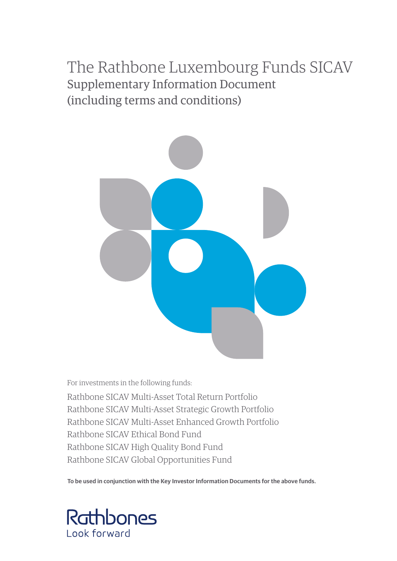# The Rathbone Luxembourg Funds SICAV Supplementary Information Document (including terms and conditions)



For investments in the following funds:

Rathbone SICAV Multi-Asset Total Return Portfolio Rathbone SICAV Multi-Asset Strategic Growth Portfolio Rathbone SICAV Multi-Asset Enhanced Growth Portfolio Rathbone SICAV Ethical Bond Fund Rathbone SICAV High Quality Bond Fund Rathbone SICAV Global Opportunities Fund

**To be used in conjunction with the Key Investor Information Documents for the above funds.**

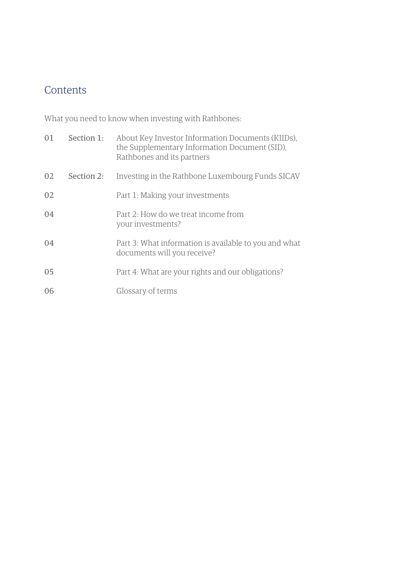# **Contents**

What you need to know when investing with Rathbones:

| 01 | Section 1: | About Key Investor Information Documents (KIIDs).<br>the Supplementary Information Document (SID),<br>Rathbones and its partners |
|----|------------|----------------------------------------------------------------------------------------------------------------------------------|
| 02 | Section 2: | Investing in the Rathbone Luxembourg Funds SICAV                                                                                 |
| 02 |            | Part 1: Making your investments                                                                                                  |
| 04 |            | Part 2: How do we treat income from<br>your investments?                                                                         |
| 04 |            | Part 3: What information is available to you and what<br>documents will you receive?                                             |
| 05 |            | Part 4: What are your rights and our obligations?                                                                                |
| 06 |            | Glossary of terms                                                                                                                |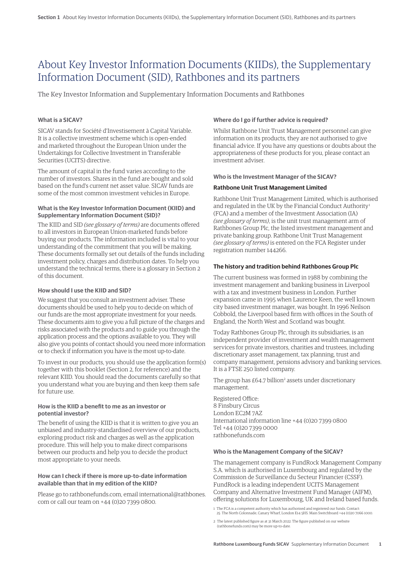# About Key Investor Information Documents (KIIDs), the Supplementary Information Document (SID), Rathbones and its partners

The Key Investor Information and Supplementary Information Documents and Rathbones

# **What is a SICAV?**

SICAV stands for Société d'Investisement à Capital Variable. It is a collective investment scheme which is open-ended and marketed throughout the European Union under the Undertakings for Collective Investment in Transferable Securities (UCITS) directive.

The amount of capital in the fund varies according to the number of investors. Shares in the fund are bought and sold based on the fund's current net asset value. SICAV funds are some of the most common investment vehicles in Europe.

#### **What is the Key Investor Information Document (KIID) and Supplementary Information Document (SID)?**

The KIID and SID *(see glossary of terms)* are documents offered to all investors in European Union-marketed funds before buying our products. The information included is vital to your understanding of the commitment that you will be making. These documents formally set out details of the funds including investment policy, charges and distribution dates. To help you understand the technical terms, there is a glossary in Section 2 of this document.

#### **How should I use the KIID and SID?**

We suggest that you consult an investment adviser. These documents should be used to help you to decide on which of our funds are the most appropriate investment for your needs. These documents aim to give you a full picture of the charges and risks associated with the products and to guide you through the application process and the options available to you. They will also give you points of contact should you need more information or to check if information you have is the most up-to-date.

To invest in our products, you should use the application form(s) together with this booklet (Section 2, for reference) and the relevant KIID. You should read the documents carefully so that you understand what you are buying and then keep them safe for future use.

#### **How is the KIID a benefit to me as an investor or potential investor?**

The benefit of using the KIID is that it is written to give you an unbiased and industry-standardised overview of our products, exploring product risk and charges as well as the application procedure. This will help you to make direct comparisons between our products and help you to decide the product most appropriate to your needs.

#### **How can I check if there is more up-to-date information available than that in my edition of the KIID?**

Please go to rathbonefunds.com, email international@rathbones. com or call our team on +44 (0)20 7399 0800.

# **Where do I go if further advice is required?**

Whilst Rathbone Unit Trust Management personnel can give information on its products, they are not authorised to give financial advice. If you have any questions or doubts about the appropriateness of these products for you, please contact an investment adviser.

#### **Who is the Investment Manager of the SICAV?**

#### **Rathbone Unit Trust Management Limited**

Rathbone Unit Trust Management Limited, which is authorised and regulated in the UK by the Financial Conduct Authority<sup>1</sup> (FCA) and a member of the Investment Association (IA) *(see glossary of terms)*, is the unit trust management arm of Rathbones Group Plc, the listed investment management and private banking group. Rathbone Unit Trust Management *(see glossary of terms)* is entered on the FCA Register under registration number 144266.

#### **The history and tradition behind Rathbones Group Plc**

The current business was formed in 1988 by combining the investment management and banking business in Liverpool with a tax and investment business in London. Further expansion came in 1995 when Laurence Keen, the well known city based investment manager, was bought. In 1996 Neilson Cobbold, the Liverpool based firm with offices in the South of England, the North West and Scotland was bought.

Today Rathbones Group Plc, through its subsidiaries, is an independent provider of investment and wealth management services for private investors, charities and trustees, including discretionary asset management, tax planning, trust and company management, pensions advisory and banking services. It is a FTSE 250 listed company.

The group has £64.7 billion<sup>2</sup> assets under discretionary management.

Registered Office: 8 Finsbury Circus London EC2M 7AZ International information line +44 (0)20 7399 0800 Tel +44 (0)20 7399 0000 rathbonefunds.com

#### **Who is the Management Company of the SICAV?**

The management company is FundRock Management Company S.A. which is authorised in Luxembourg and regulated by the Commission de Surveillance du Secteur Financier (CSSF). FundRock is a leading independent UCITS Management Company and Alternative Investment Fund Manager (AIFM), offering solutions for Luxembourg, UK and Ireland based funds.

<sup>1</sup> The FCA is a competent authority which has authorised and registered our funds. Contact: 25 The North Colonnade, Canary Wharf, London E14 5HS. Main Switchboard +44 (0)20 7066 1000.

<sup>2</sup> The latest published figure as at 31 March 2022. The figure published on our website (rathbonefunds.com) may be more up-to-date.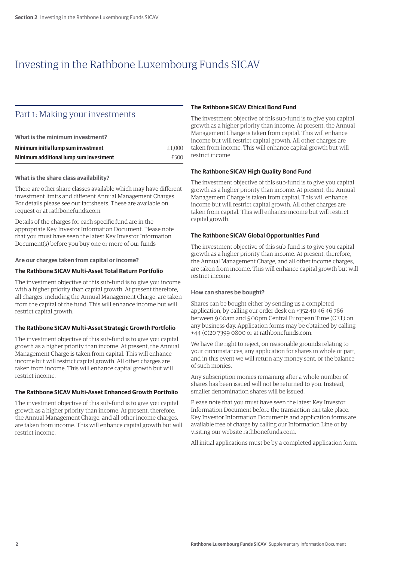# Investing in the Rathbone Luxembourg Funds SICAV

# Part 1: Making your investments

| What is the minimum investment?        |        |
|----------------------------------------|--------|
| Minimum initial lump sum investment    | £1.000 |
| Minimum additional lump sum investment | f500   |

# **What is the share class availability?**

There are other share classes available which may have different investment limits and different Annual Management Charges. For details please see our factsheets. These are available on request or at rathbonefunds.com

Details of the charges for each specific fund are in the appropriate Key Investor Information Document. Please note that you must have seen the latest Key Investor Information Document(s) before you buy one or more of our funds

# **Are our charges taken from capital or income?**

# **The Rathbone SICAV Multi-Asset Total Return Portfolio**

The investment objective of this sub-fund is to give you income with a higher priority than capital growth. At present therefore, all charges, including the Annual Management Charge, are taken from the capital of the fund. This will enhance income but will restrict capital growth.

#### **The Rathbone SICAV Multi-Asset Strategic Growth Portfolio**

The investment objective of this sub-fund is to give you capital growth as a higher priority than income. At present, the Annual Management Charge is taken from capital. This will enhance income but will restrict capital growth. All other charges are taken from income. This will enhance capital growth but will restrict income.

#### **The Rathbone SICAV Multi-Asset Enhanced Growth Portfolio**

The investment objective of this sub-fund is to give you capital growth as a higher priority than income. At present, therefore, the Annual Management Charge, and all other income charges, are taken from income. This will enhance capital growth but will restrict income.

# **The Rathbone SICAV Ethical Bond Fund**

The investment objective of this sub-fund is to give you capital growth as a higher priority than income. At present, the Annual Management Charge is taken from capital. This will enhance income but will restrict capital growth. All other charges are taken from income. This will enhance capital growth but will restrict income.

# **The Rathbone SICAV High Quality Bond Fund**

The investment objective of this sub-fund is to give you capital growth as a higher priority than income. At present, the Annual Management Charge is taken from capital. This will enhance income but will restrict capital growth. All other charges are taken from capital. This will enhance income but will restrict capital growth.

# **The Rathbone SICAV Global Opportunities Fund**

The investment objective of this sub-fund is to give you capital growth as a higher priority than income. At present, therefore, the Annual Management Charge, and all other income charges, are taken from income. This will enhance capital growth but will restrict income.

#### **How can shares be bought?**

Shares can be bought either by sending us a completed application, by calling our order desk on +352 40 46 46 766 between 9.00am and 5.00pm Central European Time (CET) on any business day. Application forms may be obtained by calling +44 (0)20 7399 0800 or at rathbonefunds.com.

We have the right to reject, on reasonable grounds relating to your circumstances, any application for shares in whole or part, and in this event we will return any money sent, or the balance of such monies.

Any subscription monies remaining after a whole number of shares has been issued will not be returned to you. Instead, smaller denomination shares will be issued.

Please note that you must have seen the latest Key Investor Information Document before the transaction can take place. Key Investor Information Documents and application forms are available free of charge by calling our Information Line or by visiting our website rathbonefunds.com.

All initial applications must be by a completed application form.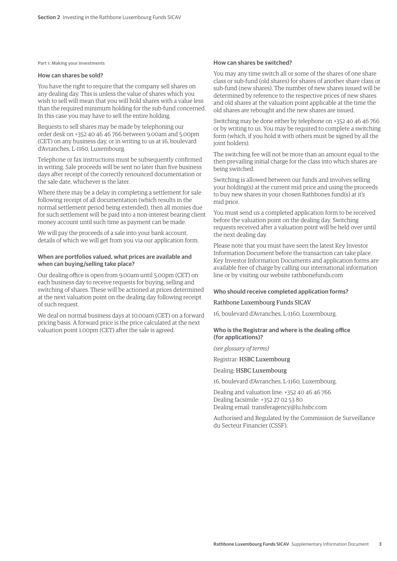**Part 1: Making your investments**

#### **How can shares be sold?**

You have the right to require that the company sell shares on any dealing day. This is unless the value of shares which you wish to sell will mean that you will hold shares with a value less than the required minimum holding for the sub-fund concerned. In this case you may have to sell the entire holding.

Requests to sell shares may be made by telephoning our order desk on +352 40 46 46 766 between 9.00am and 5.00pm (CET) on any business day, or in writing to us at 16, boulevard d'Avranches, L-1160, Luxembourg.

Telephone or fax instructions must be subsequently confirmed in writing. Sale proceeds will be sent no later than five business days after receipt of the correctly renounced documentation or the sale date, whichever is the later.

Where there may be a delay in completing a settlement for sale following receipt of all documentation (which results in the normal settlement period being extended), then all monies due for such settlement will be paid into a non-interest bearing client money account until such time as payment can be made.

We will pay the proceeds of a sale into your bank account, details of which we will get from you via our application form.

#### **When are portfolios valued, what prices are available and when can buying/selling take place?**

Our dealing office is open from 9.00am until 5.00pm (CET) on each business day to receive requests for buying, selling and switching of shares. These will be actioned at prices determined at the next valuation point on the dealing day following receipt of such request.

We deal on normal business days at 10.00am (CET) on a forward pricing basis. A forward price is the price calculated at the next valuation point 1.00pm (CET) after the sale is agreed.

#### **How can shares be switched?**

You may any time switch all or some of the shares of one share class or sub-fund (old shares) for shares of another share class or sub-fund (new shares). The number of new shares issued will be determined by reference to the respective prices of new shares and old shares at the valuation point applicable at the time the old shares are rebought and the new shares are issued.

Switching may be done either by telephone on +352 40 46 46 766 or by writing to us. You may be required to complete a switching form (which, if you hold it with others must be signed by all the joint holders).

The switching fee will not be more than an amount equal to the then prevailing initial charge for the class into which shares are being switched.

Switching is allowed between our funds and involves selling your holding(s) at the current mid price and using the proceeds to buy new shares in your chosen Rathbones fund(s) at it's mid price.

You must send us a completed application form to be received before the valuation point on the dealing day. Switching requests received after a valuation point will be held over until the next dealing day.

Please note that you must have seen the latest Key Investor Information Document before the transaction can take place. Key Investor Information Documents and application forms are available free of charge by calling our international information line or by visiting our website rathbonefunds.com

#### **Who should receive completed application forms?**

#### Rathbone Luxembourg Funds SICAV

16, boulevard d'Avranches, L-1160, Luxembourg.

**Who is the Registrar and where is the dealing office (for applications)?**

*(see glossary of terms)*

Registrar: HSBC Luxembourg

Dealing: HSBC Luxembourg

16, boulevard d'Avranches, L-1160, Luxembourg.

Dealing and valuation line: +352 40 46 46 766 Dealing facsimile: +352 27 02 53 80 Dealing email: transferagency@lu.hsbc.com

Authorised and Regulated by the Commission de Surveillance du Secteur Financier (CSSF).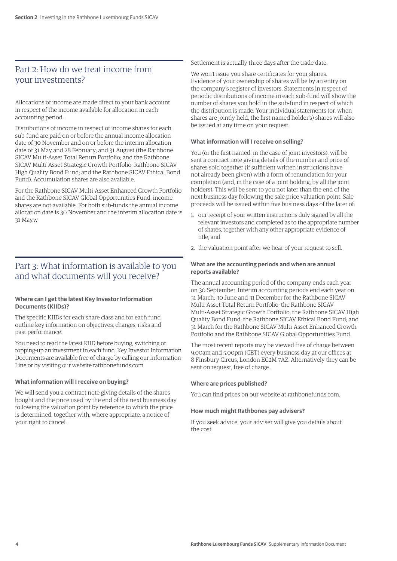# Part 2: How do we treat income from your investments?

Allocations of income are made direct to your bank account in respect of the income available for allocation in each accounting period.

Distributions of income in respect of income shares for each sub-fund are paid on or before the annual income allocation date of 30 November and on or before the interim allocation date of 31 May and 28 February; and 31 August (the Rathbone SICAV Multi-Asset Total Return Portfolio; and the Rathbone SICAV Multi-Asset Strategic Growth Portfolio; Rathbone SICAV High Quality Bond Fund; and the Rathbone SICAV Ethical Bond Fund). Accumulation shares are also available.

For the Rathbone SICAV Multi-Asset Enhanced Growth Portfolio and the Rathbone SICAV Global Opportunities Fund, income shares are not available. For both sub-funds the annual income allocation date is 30 November and the interim allocation date is 31 May.w

# Part 3: What information is available to you and what documents will you receive?

# **Where can I get the latest Key Investor Information Documents (KIIDs)?**

The specific KIIDs for each share class and for each fund outline key information on objectives, charges, risks and past performance.

You need to read the latest KIID before buying, switching or topping-up an investment in each fund. Key Investor Information Documents are available free of charge by calling our Information Line or by visiting our website rathbonefunds.com

# **What information will I receive on buying?**

We will send you a contract note giving details of the shares bought and the price used by the end of the next business day following the valuation point by reference to which the price is determined, together with, where appropriate, a notice of your right to cancel.

Settlement is actually three days after the trade date.

We won't issue you share certificates for your shares. Evidence of your ownership of shares will be by an entry on the company's register of investors. Statements in respect of periodic distributions of income in each sub-fund will show the number of shares you hold in the sub-fund in respect of which the distribution is made. Your individual statements (or, when shares are jointly held, the first named holder's) shares will also be issued at any time on your request.

#### **What information will I receive on selling?**

You (or the first named, in the case of joint investors), will be sent a contract note giving details of the number and price of shares sold together (if sufficient written instructions have not already been given) with a form of renunciation for your completion (and, in the case of a joint holding, by all the joint holders). This will be sent to you not later than the end of the next business day following the sale price valuation point. Sale proceeds will be issued within five business days of the later of:

- 1. our receipt of your written instructions duly signed by all the relevant investors and completed as to the appropriate number of shares, together with any other appropriate evidence of title; and
- 2. the valuation point after we hear of your request to sell.

### **What are the accounting periods and when are annual reports available?**

The annual accounting period of the company ends each year on 30 September. Interim accounting periods end each year on 31 March, 30 June and 31 December for the Rathbone SICAV Multi-Asset Total Return Portfolio; the Rathbone SICAV Multi-Asset Strategic Growth Portfolio; the Rathbone SICAV High Quality Bond Fund; the Rathbone SICAV Ethical Bond Fund; and 31 March for the Rathbone SICAV Multi-Asset Enhanced Growth Portfolio and the Rathbone SICAV Global Opportunities Fund.

The most recent reports may be viewed free of charge between 9.00am and 5.00pm (CET) every business day at our offices at 8 Finsbury Circus, London EC2M 7AZ. Alternatively they can be sent on request, free of charge.

#### **Where are prices published?**

You can find prices on our website at rathbonefunds.com.

# **How much might Rathbones pay advisers?**

If you seek advice, your adviser will give you details about the cost.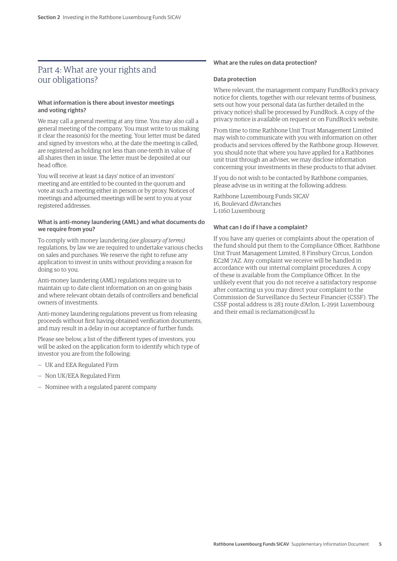# Part 4: What are your rights and our obligations?

# **What information is there about investor meetings and voting rights?**

We may call a general meeting at any time. You may also call a general meeting of the company. You must write to us making it clear the reason(s) for the meeting. Your letter must be dated and signed by investors who, at the date the meeting is called, are registered as holding not less than one-tenth in value of all shares then in issue. The letter must be deposited at our head office.

You will receive at least 14 days' notice of an investors' meeting and are entitled to be counted in the quorum and vote at such a meeting either in person or by proxy. Notices of meetings and adjourned meetings will be sent to you at your registered addresses.

#### **What is anti-money laundering (AML) and what documents do we require from you?**

To comply with money laundering *(see glossary of terms)*  regulations, by law we are required to undertake various checks on sales and purchases. We reserve the right to refuse any application to invest in units without providing a reason for doing so to you.

Anti-money laundering (AML) regulations require us to maintain up to date client information on an on-going basis and where relevant obtain details of controllers and beneficial owners of investments.

Anti-money laundering regulations prevent us from releasing proceeds without first having obtained verification documents, and may result in a delay in our acceptance of further funds.

Please see below, a list of the different types of investors, you will be asked on the application form to identify which type of investor you are from the following:

- UK and EEA Regulated Firm
- Non UK/EEA Regulated Firm
- Nominee with a regulated parent company

# **What are the rules on data protection?**

#### **Data protection**

Where relevant, the management company FundRock's privacy notice for clients, together with our relevant terms of business, sets out how your personal data (as further detailed in the privacy notice) shall be processed by FundRock. A copy of the privacy notice is available on request or on FundRock's website.

From time to time Rathbone Unit Trust Management Limited may wish to communicate with you with information on other products and services offered by the Rathbone group. However, you should note that where you have applied for a Rathbones unit trust through an adviser, we may disclose information concerning your investments in these products to that adviser.

If you do not wish to be contacted by Rathbone companies, please advise us in writing at the following address:

Rathbone Luxembourg Funds SICAV 16, Boulevard d'Avranches L-1160 Luxembourg

#### **What can I do if I have a complaint?**

If you have any queries or complaints about the operation of the fund should put them to the Compliance Officer, Rathbone Unit Trust Management Limited, 8 Finsbury Circus, London EC2M 7AZ. Any complaint we receive will be handled in accordance with our internal complaint procedures. A copy of these is available from the Compliance Officer. In the unlikely event that you do not receive a satisfactory response after contacting us you may direct your complaint to the Commission de Surveillance du Secteur Financier (CSSF). The CSSF postal address is 283 route d'Arlon, L-2991 Luxembourg and their email is reclamation@cssf.lu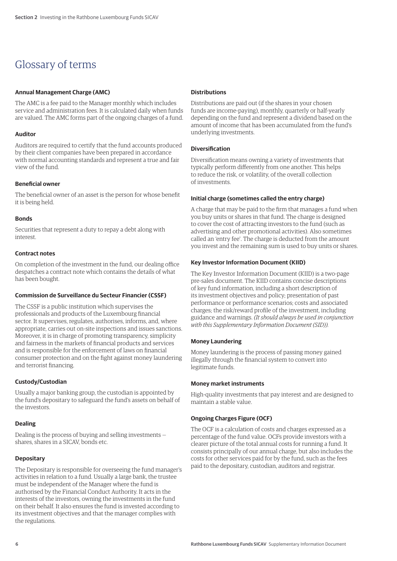# Glossary of terms

# **Annual Management Charge (AMC)**

The AMC is a fee paid to the Manager monthly which includes service and administration fees. It is calculated daily when funds are valued. The AMC forms part of the ongoing charges of a fund.

# **Auditor**

Auditors are required to certify that the fund accounts produced by their client companies have been prepared in accordance with normal accounting standards and represent a true and fair view of the fund.

# **Beneficial owner**

The beneficial owner of an asset is the person for whose benefit it is being held.

# **Bonds**

Securities that represent a duty to repay a debt along with interest.

# **Contract notes**

On completion of the investment in the fund, our dealing office despatches a contract note which contains the details of what has been bought.

# **Commission de Surveillance du Secteur Financier (CSSF)**

The CSSF is a public institution which supervises the professionals and products of the Luxembourg financial sector. It supervises, regulates, authorises, informs, and, where appropriate, carries out on-site inspections and issues sanctions. Moreover, it is in charge of promoting transparency, simplicity and fairness in the markets of financial products and services and is responsible for the enforcement of laws on financial consumer protection and on the fight against money laundering and terrorist financing.

# **Custody/Custodian**

Usually a major banking group, the custodian is appointed by the fund's depositary to safeguard the fund's assets on behalf of the investors.

# **Dealing**

Dealing is the process of buying and selling investments shares, shares in a SICAV, bonds etc.

# **Depositary**

The Depositary is responsible for overseeing the fund manager's activities in relation to a fund. Usually a large bank, the trustee must be independent of the Manager where the fund is authorised by the Financial Conduct Authority. It acts in the interests of the investors, owning the investments in the fund on their behalf. It also ensures the fund is invested according to its investment objectives and that the manager complies with the regulations.

# **Distributions**

Distributions are paid out (if the shares in your chosen funds are income-paying), monthly, quarterly or half-yearly depending on the fund and represent a dividend based on the amount of income that has been accumulated from the fund's underlying investments.

# **Diversification**

Diversification means owning a variety of investments that typically perform differently from one another. This helps to reduce the risk, or volatility, of the overall collection of investments.

# **Initial charge (sometimes called the entry charge)**

A charge that may be paid to the firm that manages a fund when you buy units or shares in that fund. The charge is designed to cover the cost of attracting investors to the fund (such as advertising and other promotional activities). Also sometimes called an 'entry fee'. The charge is deducted from the amount you invest and the remaining sum is used to buy units or shares.

# **Key Investor Information Document (KIID)**

The Key Investor Information Document (KIID) is a two-page pre-sales document. The KIID contains concise descriptions of key fund information, including a short description of its investment objectives and policy; presentation of past performance or performance scenarios; costs and associated charges; the risk/reward profile of the investment, including guidance and warnings. *(It should always be used in conjunction with this Supplementary Information Document (SID)).*

# **Money Laundering**

Money laundering is the process of passing money gained illegally through the financial system to convert into legitimate funds.

#### **Money market instruments**

High-quality investments that pay interest and are designed to maintain a stable value.

# **Ongoing Charges Figure (OCF)**

The OCF is a calculation of costs and charges expressed as a percentage of the fund value. OCFs provide investors with a clearer picture of the total annual costs for running a fund. It consists principally of our annual charge, but also includes the costs for other services paid for by the fund, such as the fees paid to the depositary, custodian, auditors and registrar.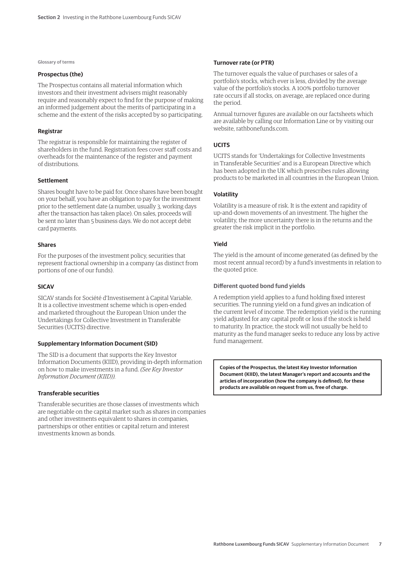**Glossary of terms**

#### **Prospectus (the)**

The Prospectus contains all material information which investors and their investment advisers might reasonably require and reasonably expect to find for the purpose of making an informed judgement about the merits of participating in a scheme and the extent of the risks accepted by so participating.

#### **Registrar**

The registrar is responsible for maintaining the register of shareholders in the fund. Registration fees cover staff costs and overheads for the maintenance of the register and payment of distributions.

#### **Settlement**

Shares bought have to be paid for. Once shares have been bought on your behalf, you have an obligation to pay for the investment prior to the settlement date (a number, usually 3, working days after the transaction has taken place). On sales, proceeds will be sent no later than 5 business days. We do not accept debit card payments.

### **Shares**

For the purposes of the investment policy, securities that represent fractional ownership in a company (as distinct from portions of one of our funds).

# **SICAV**

SICAV stands for Société d'Investisement à Capital Variable. It is a collective investment scheme which is open-ended and marketed throughout the European Union under the Undertakings for Collective Investment in Transferable Securities (UCITS) directive.

#### **Supplementary Information Document (SID)**

The SID is a document that supports the Key Investor Information Documents (KIID), providing in-depth information on how to make investments in a fund. *(See Key Investor Information Document (KIID)).*

# **Transferable securities**

Transferable securities are those classes of investments which are negotiable on the capital market such as shares in companies and other investments equivalent to shares in companies, partnerships or other entities or capital return and interest investments known as bonds.

#### **Turnover rate (or PTR)**

The turnover equals the value of purchases or sales of a portfolio's stocks, which ever is less, divided by the average value of the portfolio's stocks. A 100% portfolio turnover rate occurs if all stocks, on average, are replaced once during the period.

Annual turnover figures are available on our factsheets which are available by calling our Information Line or by visiting our website, rathbonefunds.com.

# **UCITS**

UCITS stands for 'Undertakings for Collective Investments in Transferable Securities' and is a European Directive which has been adopted in the UK which prescribes rules allowing products to be marketed in all countries in the European Union.

#### **Volatility**

Volatility is a measure of risk. It is the extent and rapidity of up-and-down movements of an investment. The higher the volatility, the more uncertainty there is in the returns and the greater the risk implicit in the portfolio.

# **Yield**

The yield is the amount of income generated (as defined by the most recent annual record) by a fund's investments in relation to the quoted price.

### **Different quoted bond fund yields**

A redemption yield applies to a fund holding fixed interest securities. The running yield on a fund gives an indication of the current level of income. The redemption yield is the running yield adjusted for any capital profit or loss if the stock is held to maturity. In practice, the stock will not usually be held to maturity as the fund manager seeks to reduce any loss by active fund management.

**Copies of the Prospectus, the latest Key Investor Information Document (KIID), the latest Manager's report and accounts and the articles of incorporation (how the company is defined), for these products are available on request from us, free of charge.**